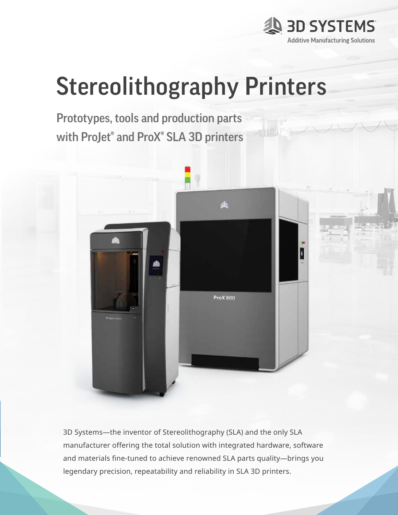

# Stereolithography Printers

Prototypes, tools and production parts with ProJet® and ProX® SLA 3D printers



3D Systems—the inventor of Stereolithography (SLA) and the only SLA manufacturer offering the total solution with integrated hardware, software and materials fine-tuned to achieve renowned SLA parts quality—brings you legendary precision, repeatability and reliability in SLA 3D printers.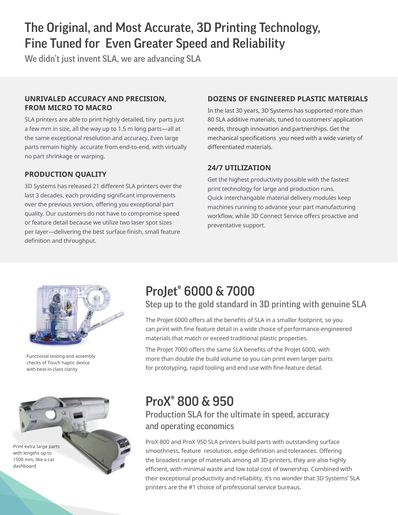# The Original, and Most Accurate, 3D Printing Technology, Fine Tuned for Even Greater Speed and Reliability

We didn't just invent SLA, we are advancing SLA

#### **UNRIVALED ACCURACY AND PRECISION, FROM MICRO TO MACRO**

SLA printers are able to print highly detailed, tiny parts just a few mm in size, all the way up to 1.5 m long parts—all at the same exceptional resolution and accuracy. Even large parts remain highly accurate from end-to-end, with virtually no part shrinkage or warping.

### **PRODUCTION QUALITY**

3D Systems has released 21 different SLA printers over the last 3 decades, each providing significant improvements over the previous version, offering you exceptional part quality. Our customers do not have to compromise speed or feature detail because we utilize two laser spot sizes per layer—delivering the best surface finish, small feature definition and throughput.

### **DOZENS OF ENGINEERED PLASTIC MATERIALS**

In the last 30 years, 3D Systems has supported more than 80 SLA additive materials, tuned to customers' application needs, through innovation and partnerships. Get the mechanical specifications you need with a wide variety of differentiated materials.

### **24/7 UTILIZATION**

Get the highest productivity possible with the fastest print technology for large and production runs. Quick interchangable material delivery modules keep machines running to advance your part manufacturing workflow, while 3D Connect Service offers proactive and preventative support.



Functional testing and assembly checks of Touch haptic device with best-in-class clarity



# ProJet® 6000 & 7000

Step up to the gold standard in 3D printing with genuine SLA

The ProJet 6000 offers all the benefits of SLA in a smaller footprint, so you can print with fine feature detail in a wide choice of performance-engineered materials that match or exceed traditional plastic properties.

The ProJet 7000 offers the same SLA benefits of the ProJet 6000, with more than double the build volume so you can print even larger parts for prototyping, rapid tooling and end use with fine-feature detail.

# ProX® 800 & 950

# Production SLA for the ultimate in speed, accuracy and operating economics

ProX 800 and ProX 950 SLA printers build parts with outstanding surface smoothness, feature resolution, edge definition and tolerances. Offering the broadest range of materials among all 3D printers, they are also highly efficient, with minimal waste and low total cost of ownership. Combined with their exceptional productivity and reliability, it's no wonder that 3D Systems' SLA printers are the #1 choice of professional service bureaus.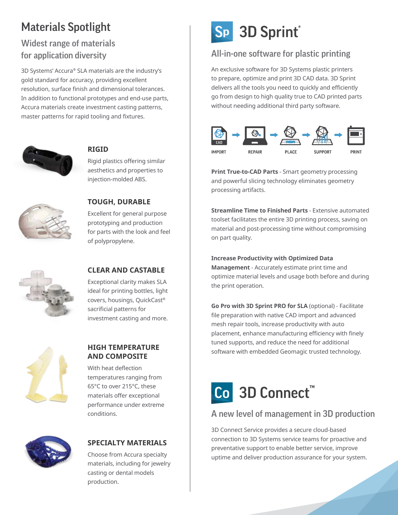# Materials Spotlight

# Widest range of materials for application diversity

3D Systems' Accura® SLA materials are the industry's gold standard for accuracy, providing excellent resolution, surface finish and dimensional tolerances. In addition to functional prototypes and end-use parts, Accura materials create investment casting patterns, master patterns for rapid tooling and fixtures.



### **RIGID**

Rigid plastics offering similar aesthetics and properties to injection-molded ABS.



### **TOUGH, DURABLE**

Excellent for general purpose prototyping and production for parts with the look and feel of polypropylene.



#### **CLEAR AND CASTABLE**

Exceptional clarity makes SLA ideal for printing bottles, light covers, housings, QuickCast® sacrificial patterns for investment casting and more.



#### **HIGH TEMPERATURE AND COMPOSITE**

With heat deflection temperatures ranging from 65°C to over 215°C, these materials offer exceptional performance under extreme conditions.



### **SPECIALTY MATERIALS**

Choose from Accura specialty materials, including for jewelry casting or dental models production.

# Sp 3D Sprint®

# All-in-one software for plastic printing

An exclusive software for 3D Systems plastic printers to prepare, optimize and print 3D CAD data. 3D Sprint delivers all the tools you need to quickly and efficiently go from design to high quality true to CAD printed parts without needing additional third party software.



**Print True-to-CAD Parts** - Smart geometry processing and powerful slicing technology eliminates geometry processing artifacts.

**Streamline Time to Finished Parts** - Extensive automated toolset facilitates the entire 3D printing process, saving on material and post-processing time without compromising on part quality.

**Increase Productivity with Optimized Data Management** - Accurately estimate print time and optimize material levels and usage both before and during the print operation.

**Go Pro with 3D Sprint PRO for SLA** (optional) - Facilitate file preparation with native CAD import and advanced mesh repair tools, increase productivity with auto placement, enhance manufacturing efficiency with finely tuned supports, and reduce the need for additional software with embedded Geomagic trusted technology.



# A new level of management in 3D production

3D Connect Service provides a secure cloud-based connection to 3D Systems service teams for proactive and preventative support to enable better service, improve uptime and deliver production assurance for your system.